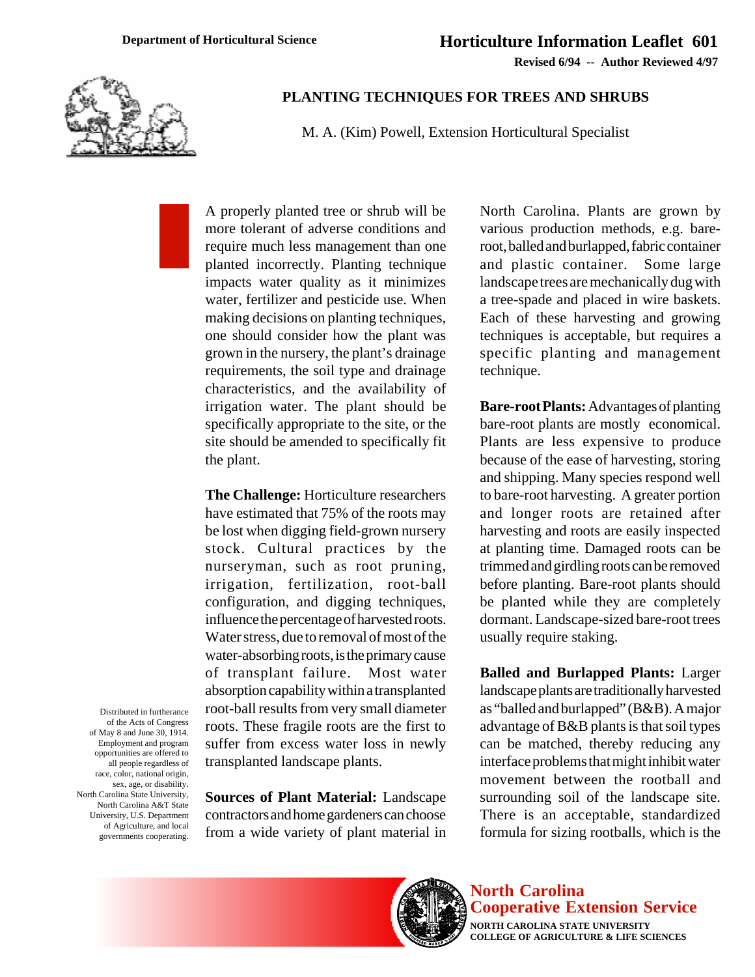**Revised 6/94 -- Author Reviewed 4/97**



## **PLANTING TECHNIQUES FOR TREES AND SHRUBS**

M. A. (Kim) Powell, Extension Horticultural Specialist

A properly planted tree or shrub will be more tolerant of adverse conditions and require much less management than one planted incorrectly. Planting technique impacts water quality as it minimizes water, fertilizer and pesticide use. When making decisions on planting techniques, one should consider how the plant was grown in the nursery, the plant's drainage requirements, the soil type and drainage characteristics, and the availability of irrigation water. The plant should be specifically appropriate to the site, or the site should be amended to specifically fit the plant.

**The Challenge:** Horticulture researchers have estimated that 75% of the roots may be lost when digging field-grown nursery stock. Cultural practices by the nurseryman, such as root pruning, irrigation, fertilization, root-ball configuration, and digging techniques, influence the percentage of harvested roots. Water stress, due to removal of most of the water-absorbing roots, is the primary cause of transplant failure. Most water absorption capability within a transplanted root-ball results from very small diameter roots. These fragile roots are the first to suffer from excess water loss in newly transplanted landscape plants.

**Sources of Plant Material:** Landscape contractors and home gardeners can choose from a wide variety of plant material in North Carolina. Plants are grown by various production methods, e.g. bareroot, balled and burlapped, fabric container and plastic container. Some large landscape trees are mechanically dug with a tree-spade and placed in wire baskets. Each of these harvesting and growing techniques is acceptable, but requires a specific planting and management technique.

**Bare-root Plants:** Advantages of planting bare-root plants are mostly economical. Plants are less expensive to produce because of the ease of harvesting, storing and shipping. Many species respond well to bare-root harvesting. A greater portion and longer roots are retained after harvesting and roots are easily inspected at planting time. Damaged roots can be trimmed and girdling roots can be removed before planting. Bare-root plants should be planted while they are completely dormant. Landscape-sized bare-root trees usually require staking.

**Balled and Burlapped Plants:** Larger landscape plants are traditionally harvested as "balled and burlapped" (B&B). A major advantage of B&B plants is that soil types can be matched, thereby reducing any interface problems that might inhibit water movement between the rootball and surrounding soil of the landscape site. There is an acceptable, standardized formula for sizing rootballs, which is the



## **North Carolina Cooperative Extension Service**

**NORTH CAROLINA STATE UNIVERSITY COLLEGE OF AGRICULTURE & LIFE SCIENCES**

Distributed in furtherance of the Acts of Congress of May 8 and June 30, 1914. Employment and program opportunities are offered to all people regardless of race, color, national origin, sex, age, or disability. North Carolina State University, North Carolina A&T State University, U.S. Department of Agriculture, and local governments cooperating.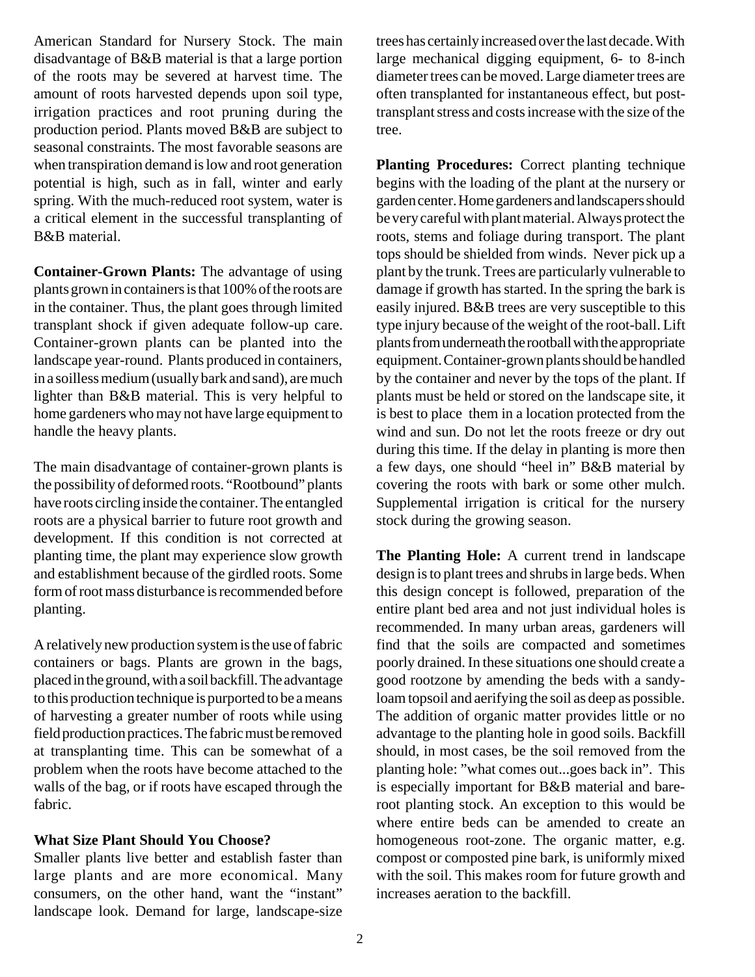American Standard for Nursery Stock. The main disadvantage of B&B material is that a large portion of the roots may be severed at harvest time. The amount of roots harvested depends upon soil type, irrigation practices and root pruning during the production period. Plants moved B&B are subject to seasonal constraints. The most favorable seasons are when transpiration demand is low and root generation potential is high, such as in fall, winter and early spring. With the much-reduced root system, water is a critical element in the successful transplanting of B&B material.

**Container-Grown Plants:** The advantage of using plants grown in containers is that 100% of the roots are in the container. Thus, the plant goes through limited transplant shock if given adequate follow-up care. Container-grown plants can be planted into the landscape year-round. Plants produced in containers, in a soilless medium (usually bark and sand), are much lighter than B&B material. This is very helpful to home gardeners who may not have large equipment to handle the heavy plants.

The main disadvantage of container-grown plants is the possibility of deformed roots. "Rootbound" plants have roots circling inside the container. The entangled roots are a physical barrier to future root growth and development. If this condition is not corrected at planting time, the plant may experience slow growth and establishment because of the girdled roots. Some form of root mass disturbance is recommended before planting.

A relatively new production system is the use of fabric containers or bags. Plants are grown in the bags, placed in the ground, with a soil backfill. The advantage to this production technique is purported to be a means of harvesting a greater number of roots while using field production practices. The fabric must be removed at transplanting time. This can be somewhat of a problem when the roots have become attached to the walls of the bag, or if roots have escaped through the fabric.

## **What Size Plant Should You Choose?**

Smaller plants live better and establish faster than large plants and are more economical. Many consumers, on the other hand, want the "instant" landscape look. Demand for large, landscape-size trees has certainly increased over the last decade. With large mechanical digging equipment, 6- to 8-inch diameter trees can be moved. Large diameter trees are often transplanted for instantaneous effect, but posttransplant stress and costs increase with the size of the tree.

**Planting Procedures:** Correct planting technique begins with the loading of the plant at the nursery or garden center. Home gardeners and landscapers should be very careful with plant material. Always protect the roots, stems and foliage during transport. The plant tops should be shielded from winds. Never pick up a plant by the trunk. Trees are particularly vulnerable to damage if growth has started. In the spring the bark is easily injured. B&B trees are very susceptible to this type injury because of the weight of the root-ball. Lift plants from underneath the rootball with the appropriate equipment. Container-grown plants should be handled by the container and never by the tops of the plant. If plants must be held or stored on the landscape site, it is best to place them in a location protected from the wind and sun. Do not let the roots freeze or dry out during this time. If the delay in planting is more then a few days, one should "heel in" B&B material by covering the roots with bark or some other mulch. Supplemental irrigation is critical for the nursery stock during the growing season.

**The Planting Hole:** A current trend in landscape design is to plant trees and shrubs in large beds. When this design concept is followed, preparation of the entire plant bed area and not just individual holes is recommended. In many urban areas, gardeners will find that the soils are compacted and sometimes poorly drained. In these situations one should create a good rootzone by amending the beds with a sandyloam topsoil and aerifying the soil as deep as possible. The addition of organic matter provides little or no advantage to the planting hole in good soils. Backfill should, in most cases, be the soil removed from the planting hole: "what comes out...goes back in". This is especially important for B&B material and bareroot planting stock. An exception to this would be where entire beds can be amended to create an homogeneous root-zone. The organic matter, e.g. compost or composted pine bark, is uniformly mixed with the soil. This makes room for future growth and increases aeration to the backfill.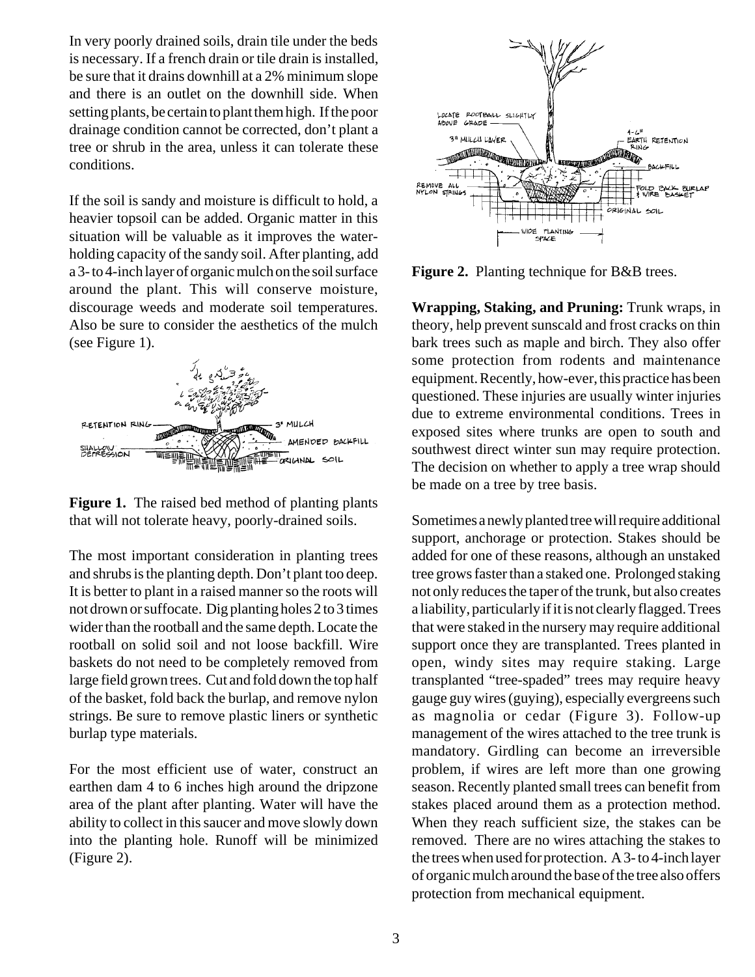In very poorly drained soils, drain tile under the beds is necessary. If a french drain or tile drain is installed, be sure that it drains downhill at a 2% minimum slope and there is an outlet on the downhill side. When setting plants, be certain to plant them high. If the poor drainage condition cannot be corrected, don't plant a tree or shrub in the area, unless it can tolerate these conditions.

If the soil is sandy and moisture is difficult to hold, a heavier topsoil can be added. Organic matter in this situation will be valuable as it improves the waterholding capacity of the sandy soil. After planting, add a 3- to 4-inch layer of organic mulch on the soil surface around the plant. This will conserve moisture, discourage weeds and moderate soil temperatures. Also be sure to consider the aesthetics of the mulch (see Figure 1).



Figure 1. The raised bed method of planting plants that will not tolerate heavy, poorly-drained soils.

The most important consideration in planting trees and shrubs is the planting depth. Don't plant too deep. It is better to plant in a raised manner so the roots will not drown or suffocate. Dig planting holes 2 to 3 times wider than the rootball and the same depth. Locate the rootball on solid soil and not loose backfill. Wire baskets do not need to be completely removed from large field grown trees. Cut and fold down the top half of the basket, fold back the burlap, and remove nylon strings. Be sure to remove plastic liners or synthetic burlap type materials.

For the most efficient use of water, construct an earthen dam 4 to 6 inches high around the dripzone area of the plant after planting. Water will have the ability to collect in this saucer and move slowly down into the planting hole. Runoff will be minimized (Figure 2).



**Figure 2.** Planting technique for B&B trees.

**Wrapping, Staking, and Pruning:** Trunk wraps, in theory, help prevent sunscald and frost cracks on thin bark trees such as maple and birch. They also offer some protection from rodents and maintenance equipment. Recently, how-ever, this practice has been questioned. These injuries are usually winter injuries due to extreme environmental conditions. Trees in exposed sites where trunks are open to south and southwest direct winter sun may require protection. The decision on whether to apply a tree wrap should be made on a tree by tree basis.

Sometimes a newly planted tree will require additional support, anchorage or protection. Stakes should be added for one of these reasons, although an unstaked tree grows faster than a staked one. Prolonged staking not only reduces the taper of the trunk, but also creates a liability, particularly if it is not clearly flagged. Trees that were staked in the nursery may require additional support once they are transplanted. Trees planted in open, windy sites may require staking. Large transplanted "tree-spaded" trees may require heavy gauge guy wires (guying), especially evergreens such as magnolia or cedar (Figure 3). Follow-up management of the wires attached to the tree trunk is mandatory. Girdling can become an irreversible problem, if wires are left more than one growing season. Recently planted small trees can benefit from stakes placed around them as a protection method. When they reach sufficient size, the stakes can be removed. There are no wires attaching the stakes to the trees when used for protection. A 3- to 4-inch layer of organic mulch around the base of the tree also offers protection from mechanical equipment.